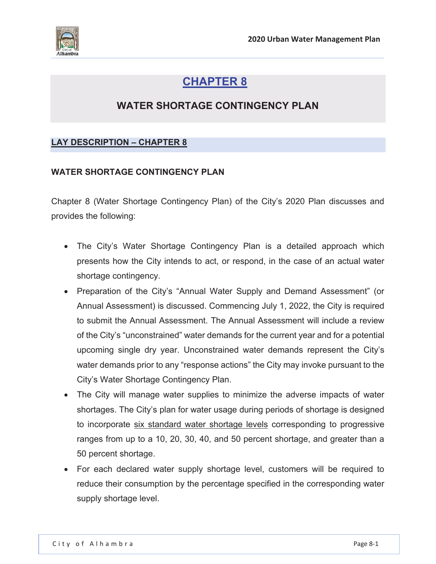

# **CHAPTER 8**

# **WATER SHORTAGE CONTINGENCY PLAN**

# **LAY DESCRIPTION – CHAPTER 8**

### **WATER SHORTAGE CONTINGENCY PLAN**

Chapter 8 (Water Shortage Contingency Plan) of the City's 2020 Plan discusses and provides the following:

- The City's Water Shortage Contingency Plan is a detailed approach which presents how the City intends to act, or respond, in the case of an actual water shortage contingency.
- Preparation of the City's "Annual Water Supply and Demand Assessment" (or Annual Assessment) is discussed. Commencing July 1, 2022, the City is required to submit the Annual Assessment. The Annual Assessment will include a review of the City's "unconstrained" water demands for the current year and for a potential upcoming single dry year. Unconstrained water demands represent the City's water demands prior to any "response actions" the City may invoke pursuant to the City's Water Shortage Contingency Plan.
- The City will manage water supplies to minimize the adverse impacts of water shortages. The City's plan for water usage during periods of shortage is designed to incorporate six standard water shortage levels corresponding to progressive ranges from up to a 10, 20, 30, 40, and 50 percent shortage, and greater than a 50 percent shortage.
- For each declared water supply shortage level, customers will be required to reduce their consumption by the percentage specified in the corresponding water supply shortage level.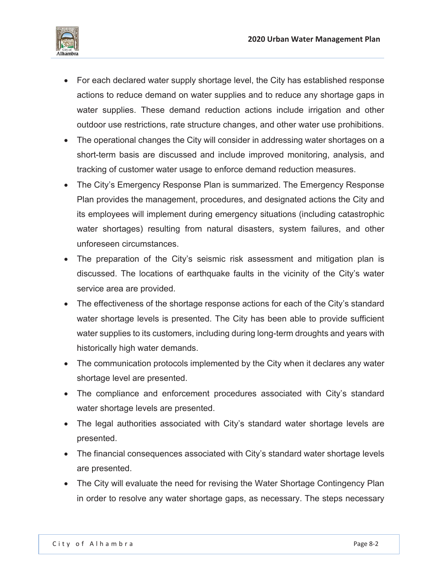

- For each declared water supply shortage level, the City has established response actions to reduce demand on water supplies and to reduce any shortage gaps in water supplies. These demand reduction actions include irrigation and other outdoor use restrictions, rate structure changes, and other water use prohibitions.
- The operational changes the City will consider in addressing water shortages on a short-term basis are discussed and include improved monitoring, analysis, and tracking of customer water usage to enforce demand reduction measures.
- The City's Emergency Response Plan is summarized. The Emergency Response Plan provides the management, procedures, and designated actions the City and its employees will implement during emergency situations (including catastrophic water shortages) resulting from natural disasters, system failures, and other unforeseen circumstances.
- The preparation of the City's seismic risk assessment and mitigation plan is discussed. The locations of earthquake faults in the vicinity of the City's water service area are provided.
- The effectiveness of the shortage response actions for each of the City's standard water shortage levels is presented. The City has been able to provide sufficient water supplies to its customers, including during long-term droughts and years with historically high water demands.
- The communication protocols implemented by the City when it declares any water shortage level are presented.
- The compliance and enforcement procedures associated with City's standard water shortage levels are presented.
- The legal authorities associated with City's standard water shortage levels are presented.
- The financial consequences associated with City's standard water shortage levels are presented.
- The City will evaluate the need for revising the Water Shortage Contingency Plan in order to resolve any water shortage gaps, as necessary. The steps necessary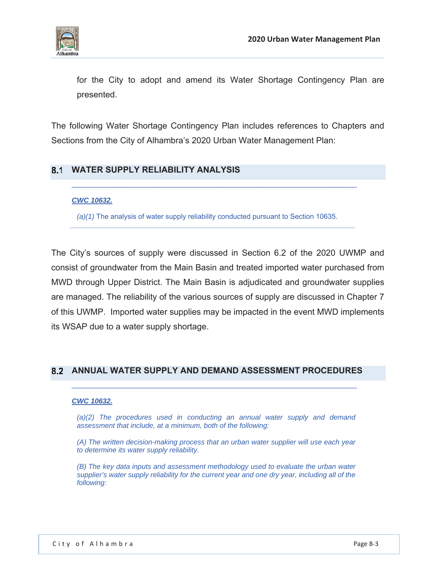

for the City to adopt and amend its Water Shortage Contingency Plan are presented.

The following Water Shortage Contingency Plan includes references to Chapters and Sections from the City of Alhambra's 2020 Urban Water Management Plan:

# **WATER SUPPLY RELIABILITY ANALYSIS**

### *CWC 10632.*

*(a)(1)* The analysis of water supply reliability conducted pursuant to Section 10635.

*\_\_\_\_\_\_\_\_\_\_\_\_\_\_\_\_\_\_\_\_\_\_\_\_\_\_\_\_\_\_\_\_\_\_\_\_\_\_\_\_\_\_\_\_\_\_\_\_\_\_\_\_\_\_\_\_\_\_\_\_\_\_\_\_\_\_\_\_\_\_\_\_* 

The City's sources of supply were discussed in Section 6.2 of the 2020 UWMP and consist of groundwater from the Main Basin and treated imported water purchased from MWD through Upper District. The Main Basin is adjudicated and groundwater supplies are managed. The reliability of the various sources of supply are discussed in Chapter 7 of this UWMP. Imported water supplies may be impacted in the event MWD implements its WSAP due to a water supply shortage.

### **ANNUAL WATER SUPPLY AND DEMAND ASSESSMENT PROCEDURES**

#### *CWC 10632.*

*(a)(2) The procedures used in conducting an annual water supply and demand assessment that include, at a minimum, both of the following:* 

*(A) The written decision-making process that an urban water supplier will use each year to determine its water supply reliability.* 

*(B) The key data inputs and assessment methodology used to evaluate the urban water supplier's water supply reliability for the current year and one dry year, including all of the following:*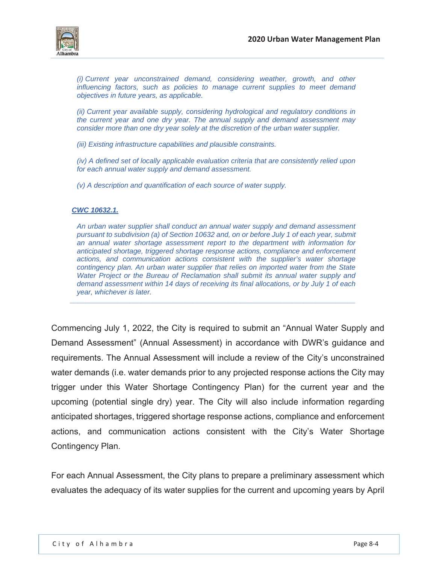

*(i) Current year unconstrained demand, considering weather, growth, and other influencing factors, such as policies to manage current supplies to meet demand objectives in future years, as applicable.* 

*(ii) Current year available supply, considering hydrological and regulatory conditions in the current year and one dry year. The annual supply and demand assessment may consider more than one dry year solely at the discretion of the urban water supplier.* 

*(iii) Existing infrastructure capabilities and plausible constraints.* 

*(iv) A defined set of locally applicable evaluation criteria that are consistently relied upon for each annual water supply and demand assessment.* 

*(v) A description and quantification of each source of water supply.* 

#### *CWC 10632.1.*

*An urban water supplier shall conduct an annual water supply and demand assessment pursuant to subdivision (a) of Section 10632 and, on or before July 1 of each year, submit an annual water shortage assessment report to the department with information for anticipated shortage, triggered shortage response actions, compliance and enforcement actions, and communication actions consistent with the supplier's water shortage contingency plan. An urban water supplier that relies on imported water from the State Water Project or the Bureau of Reclamation shall submit its annual water supply and demand assessment within 14 days of receiving its final allocations, or by July 1 of each year, whichever is later.* 

*\_\_\_\_\_\_\_\_\_\_\_\_\_\_\_\_\_\_\_\_\_\_\_\_\_\_\_\_\_\_\_\_\_\_\_\_\_\_\_\_\_\_\_\_\_\_\_\_\_\_\_\_\_\_\_\_\_\_\_\_\_\_\_\_\_\_\_\_\_\_\_\_* 

Commencing July 1, 2022, the City is required to submit an "Annual Water Supply and Demand Assessment" (Annual Assessment) in accordance with DWR's guidance and requirements. The Annual Assessment will include a review of the City's unconstrained water demands (i.e. water demands prior to any projected response actions the City may trigger under this Water Shortage Contingency Plan) for the current year and the upcoming (potential single dry) year. The City will also include information regarding anticipated shortages, triggered shortage response actions, compliance and enforcement actions, and communication actions consistent with the City's Water Shortage Contingency Plan.

For each Annual Assessment, the City plans to prepare a preliminary assessment which evaluates the adequacy of its water supplies for the current and upcoming years by April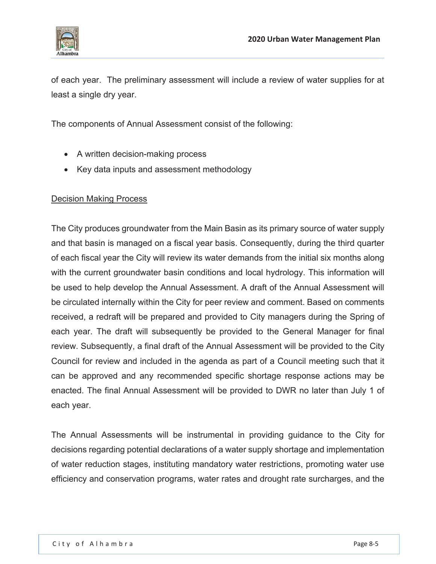

of each year. The preliminary assessment will include a review of water supplies for at least a single dry year.

The components of Annual Assessment consist of the following:

- A written decision-making process
- Key data inputs and assessment methodology

# Decision Making Process

The City produces groundwater from the Main Basin as its primary source of water supply and that basin is managed on a fiscal year basis. Consequently, during the third quarter of each fiscal year the City will review its water demands from the initial six months along with the current groundwater basin conditions and local hydrology. This information will be used to help develop the Annual Assessment. A draft of the Annual Assessment will be circulated internally within the City for peer review and comment. Based on comments received, a redraft will be prepared and provided to City managers during the Spring of each year. The draft will subsequently be provided to the General Manager for final review. Subsequently, a final draft of the Annual Assessment will be provided to the City Council for review and included in the agenda as part of a Council meeting such that it can be approved and any recommended specific shortage response actions may be enacted. The final Annual Assessment will be provided to DWR no later than July 1 of each year.

The Annual Assessments will be instrumental in providing guidance to the City for decisions regarding potential declarations of a water supply shortage and implementation of water reduction stages, instituting mandatory water restrictions, promoting water use efficiency and conservation programs, water rates and drought rate surcharges, and the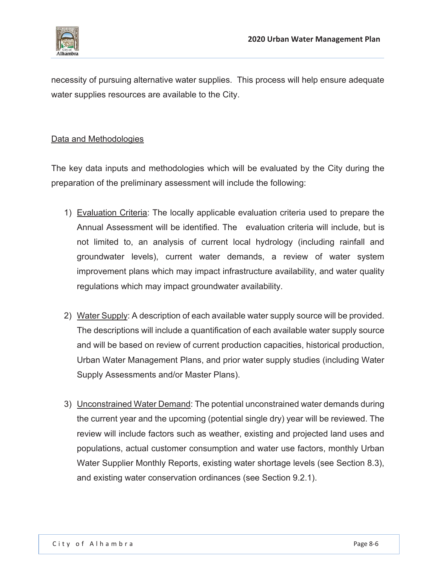

necessity of pursuing alternative water supplies. This process will help ensure adequate water supplies resources are available to the City.

# Data and Methodologies

The key data inputs and methodologies which will be evaluated by the City during the preparation of the preliminary assessment will include the following:

- 1) Evaluation Criteria: The locally applicable evaluation criteria used to prepare the Annual Assessment will be identified. The evaluation criteria will include, but is not limited to, an analysis of current local hydrology (including rainfall and groundwater levels), current water demands, a review of water system improvement plans which may impact infrastructure availability, and water quality regulations which may impact groundwater availability.
- 2) Water Supply: A description of each available water supply source will be provided. The descriptions will include a quantification of each available water supply source and will be based on review of current production capacities, historical production, Urban Water Management Plans, and prior water supply studies (including Water Supply Assessments and/or Master Plans).
- 3) Unconstrained Water Demand: The potential unconstrained water demands during the current year and the upcoming (potential single dry) year will be reviewed. The review will include factors such as weather, existing and projected land uses and populations, actual customer consumption and water use factors, monthly Urban Water Supplier Monthly Reports, existing water shortage levels (see Section 8.3), and existing water conservation ordinances (see Section 9.2.1).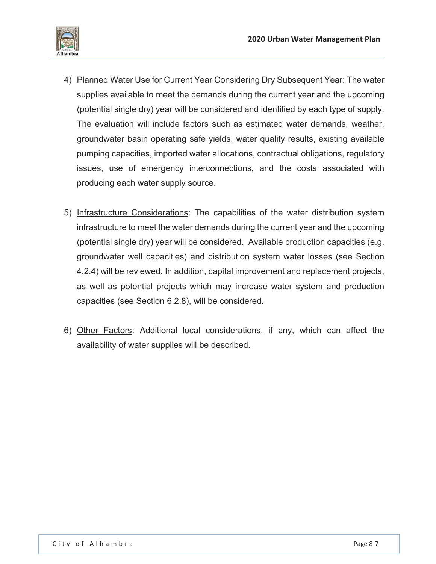

- 4) Planned Water Use for Current Year Considering Dry Subsequent Year: The water supplies available to meet the demands during the current year and the upcoming (potential single dry) year will be considered and identified by each type of supply. The evaluation will include factors such as estimated water demands, weather, groundwater basin operating safe yields, water quality results, existing available pumping capacities, imported water allocations, contractual obligations, regulatory issues, use of emergency interconnections, and the costs associated with producing each water supply source.
- 5) Infrastructure Considerations: The capabilities of the water distribution system infrastructure to meet the water demands during the current year and the upcoming (potential single dry) year will be considered. Available production capacities (e.g. groundwater well capacities) and distribution system water losses (see Section 4.2.4) will be reviewed. In addition, capital improvement and replacement projects, as well as potential projects which may increase water system and production capacities (see Section 6.2.8), will be considered.
- 6) Other Factors: Additional local considerations, if any, which can affect the availability of water supplies will be described.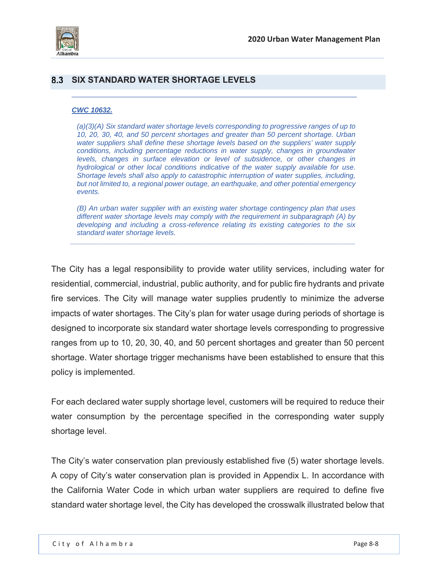

## **SIX STANDARD WATER SHORTAGE LEVELS**

#### *CWC 10632.*

*(a)(3)(A) Six standard water shortage levels corresponding to progressive ranges of up to 10, 20, 30, 40, and 50 percent shortages and greater than 50 percent shortage. Urban water suppliers shall define these shortage levels based on the suppliers' water supply*  conditions, including percentage reductions in water supply, changes in groundwater *levels, changes in surface elevation or level of subsidence, or other changes in hydrological or other local conditions indicative of the water supply available for use. Shortage levels shall also apply to catastrophic interruption of water supplies, including, but not limited to, a regional power outage, an earthquake, and other potential emergency events.* 

 $\_$  , and the set of the set of the set of the set of the set of the set of the set of the set of the set of the set of the set of the set of the set of the set of the set of the set of the set of the set of the set of th

*(B) An urban water supplier with an existing water shortage contingency plan that uses different water shortage levels may comply with the requirement in subparagraph (A) by developing and including a cross-reference relating its existing categories to the six standard water shortage levels.* 

*\_\_\_\_\_\_\_\_\_\_\_\_\_\_\_\_\_\_\_\_\_\_\_\_\_\_\_\_\_\_\_\_\_\_\_\_\_\_\_\_\_\_\_\_\_\_\_\_\_\_\_\_\_\_\_\_\_\_\_\_\_\_\_\_\_\_\_\_\_\_\_\_* 

The City has a legal responsibility to provide water utility services, including water for residential, commercial, industrial, public authority, and for public fire hydrants and private fire services. The City will manage water supplies prudently to minimize the adverse impacts of water shortages. The City's plan for water usage during periods of shortage is designed to incorporate six standard water shortage levels corresponding to progressive ranges from up to 10, 20, 30, 40, and 50 percent shortages and greater than 50 percent shortage. Water shortage trigger mechanisms have been established to ensure that this policy is implemented.

For each declared water supply shortage level, customers will be required to reduce their water consumption by the percentage specified in the corresponding water supply shortage level.

The City's water conservation plan previously established five (5) water shortage levels. A copy of City's water conservation plan is provided in Appendix L. In accordance with the California Water Code in which urban water suppliers are required to define five standard water shortage level, the City has developed the crosswalk illustrated below that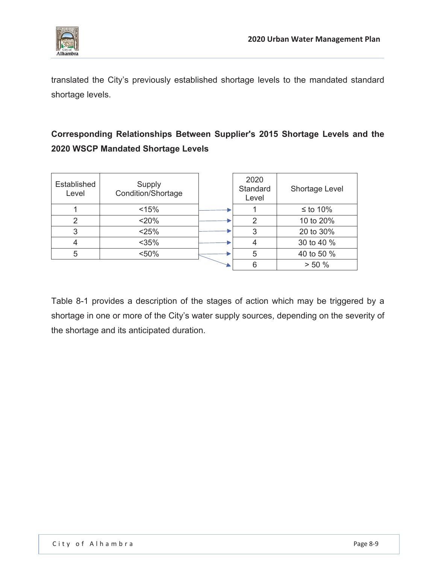

translated the City's previously established shortage levels to the mandated standard shortage levels.

# **Corresponding Relationships Between Supplier's 2015 Shortage Levels and the 2020 WSCP Mandated Shortage Levels**

| Established<br>Level | Supply<br>Condition/Shortage | 2020<br>Standard<br>Level | <b>Shortage Level</b> |
|----------------------|------------------------------|---------------------------|-----------------------|
|                      | < 15%                        |                           | $≤$ to 10%            |
| 2                    | < 20%                        | 2                         | 10 to 20%             |
| 3                    | < 25%                        | 3                         | 20 to 30%             |
|                      | $<$ 35%                      |                           | 30 to 40 %            |
| 5                    | < 50%                        | 5                         | 40 to 50 %            |
|                      |                              |                           | > 50%                 |

Table 8-1 provides a description of the stages of action which may be triggered by a shortage in one or more of the City's water supply sources, depending on the severity of the shortage and its anticipated duration.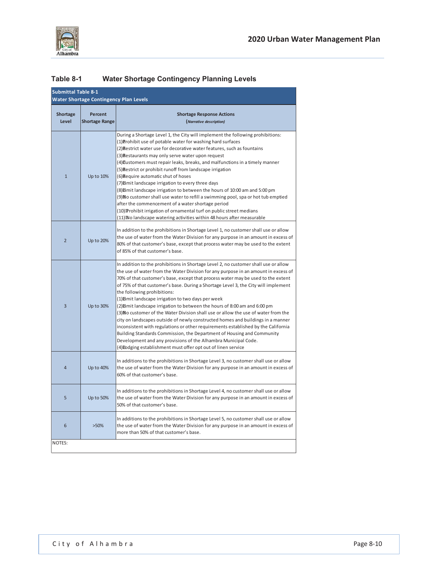

## **Table 8-1 Water Shortage Contingency Planning Levels**

| <b>Submittal Table 8-1</b><br><b>Water Shortage Contingency Plan Levels</b> |                                  |                                                                                                                                                                                                                                                                                                                                                                                                                                                                                                                                                                                                                                                                                                                                                                                                                                                                                                                                                                                                    |  |  |
|-----------------------------------------------------------------------------|----------------------------------|----------------------------------------------------------------------------------------------------------------------------------------------------------------------------------------------------------------------------------------------------------------------------------------------------------------------------------------------------------------------------------------------------------------------------------------------------------------------------------------------------------------------------------------------------------------------------------------------------------------------------------------------------------------------------------------------------------------------------------------------------------------------------------------------------------------------------------------------------------------------------------------------------------------------------------------------------------------------------------------------------|--|--|
| <b>Shortage</b><br>Level                                                    | Percent<br><b>Shortage Range</b> | <b>Shortage Response Actions</b><br>(Narrative description)                                                                                                                                                                                                                                                                                                                                                                                                                                                                                                                                                                                                                                                                                                                                                                                                                                                                                                                                        |  |  |
| $\mathbf{1}$                                                                | Up to 10%                        | During a Shortage Level 1, the City will implement the following prohibitions:<br>(1) Prohibit use of potable water for washing hard surfaces<br>(2) Restrict water use for decorative water features, such as fountains<br>(3) Restaurants may only serve water upon request<br>(4) Customers must repair leaks, breaks, and malfunctions in a timely manner<br>(5) Restrict or prohibit runoff from landscape irrigation<br>(6) Require automatic shut of hoses<br>(7) Eimit landscape irrigation to every three days<br>(8) Eimit landscape irrigation to between the hours of 10:00 am and 5:00 pm<br>(9) No customer shall use water to refill a swimming pool, spa or hot tub emptied<br>after the commencement of a water shortage period<br>(10) Prohibit irrigation of ornamental turf on public street medians<br>(11) No landscape watering activities within 48 hours after measurable                                                                                                 |  |  |
| $\overline{2}$                                                              | Up to 20%                        | In addition to the prohibitions in Shortage Level 1, no customer shall use or allow<br>the use of water from the Water Division for any purpose in an amount in excess of<br>80% of that customer's base, except that process water may be used to the extent<br>of 85% of that customer's base.                                                                                                                                                                                                                                                                                                                                                                                                                                                                                                                                                                                                                                                                                                   |  |  |
| 3                                                                           | Up to 30%                        | In addition to the prohibitions in Shortage Level 2, no customer shall use or allow<br>the use of water from the Water Division for any purpose in an amount in excess of<br>70% of that customer's base, except that process water may be used to the extent<br>of 75% of that customer's base. During a Shortage Level 3, the City will implement<br>the following prohibitions:<br>(1) Eimit landscape irrigation to two days per week<br>(2) Eimit landscape irrigation to between the hours of 8:00 am and 6:00 pm<br>(3) No customer of the Water Division shall use or allow the use of water from the<br>city on landscapes outside of newly constructed homes and buildings in a manner<br>inconsistent with regulations or other requirements established by the California<br>Building Standards Commission, the Department of Housing and Community<br>Development and any provisions of the Alhambra Municipal Code.<br>(4) Eodging establishment must offer opt out of linen service |  |  |
| 4                                                                           | Up to 40%                        | In additions to the prohibitions in Shortage Level 3, no customer shall use or allow<br>the use of water from the Water Division for any purpose in an amount in excess of<br>60% of that customer's base.                                                                                                                                                                                                                                                                                                                                                                                                                                                                                                                                                                                                                                                                                                                                                                                         |  |  |
| 5                                                                           | Up to 50%                        | In additions to the prohibitions in Shortage Level 4, no customer shall use or allow<br>the use of water from the Water Division for any purpose in an amount in excess of<br>50% of that customer's base.                                                                                                                                                                                                                                                                                                                                                                                                                                                                                                                                                                                                                                                                                                                                                                                         |  |  |
| 6                                                                           | $>50\%$                          | In additions to the prohibitions in Shortage Level 5, no customer shall use or allow<br>the use of water from the Water Division for any purpose in an amount in excess of<br>more than 50% of that customer's base.                                                                                                                                                                                                                                                                                                                                                                                                                                                                                                                                                                                                                                                                                                                                                                               |  |  |
| NOTES:                                                                      |                                  |                                                                                                                                                                                                                                                                                                                                                                                                                                                                                                                                                                                                                                                                                                                                                                                                                                                                                                                                                                                                    |  |  |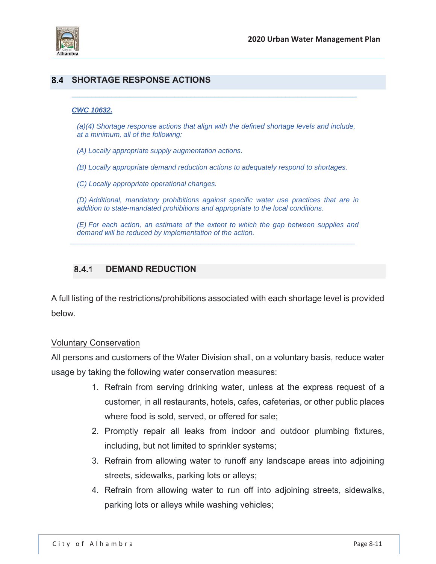

## **SHORTAGE RESPONSE ACTIONS**

#### *CWC 10632.*

*(a)(4) Shortage response actions that align with the defined shortage levels and include, at a minimum, all of the following:* 

 $\_$  , and the set of the set of the set of the set of the set of the set of the set of the set of the set of the set of the set of the set of the set of the set of the set of the set of the set of the set of the set of th

*(A) Locally appropriate supply augmentation actions.* 

*(B) Locally appropriate demand reduction actions to adequately respond to shortages.* 

*(C) Locally appropriate operational changes.* 

*(D) Additional, mandatory prohibitions against specific water use practices that are in addition to state-mandated prohibitions and appropriate to the local conditions.* 

*(E) For each action, an estimate of the extent to which the gap between supplies and demand will be reduced by implementation of the action.* 

*\_\_\_\_\_\_\_\_\_\_\_\_\_\_\_\_\_\_\_\_\_\_\_\_\_\_\_\_\_\_\_\_\_\_\_\_\_\_\_\_\_\_\_\_\_\_\_\_\_\_\_\_\_\_\_\_\_\_\_\_\_\_\_\_\_\_\_\_\_\_\_\_* 

### 8.4.1 **DEMAND REDUCTION**

A full listing of the restrictions/prohibitions associated with each shortage level is provided below.

### Voluntary Conservation

All persons and customers of the Water Division shall, on a voluntary basis, reduce water usage by taking the following water conservation measures:

- 1. Refrain from serving drinking water, unless at the express request of a customer, in all restaurants, hotels, cafes, cafeterias, or other public places where food is sold, served, or offered for sale;
- 2. Promptly repair all leaks from indoor and outdoor plumbing fixtures, including, but not limited to sprinkler systems;
- 3. Refrain from allowing water to runoff any landscape areas into adjoining streets, sidewalks, parking lots or alleys;
- 4. Refrain from allowing water to run off into adjoining streets, sidewalks, parking lots or alleys while washing vehicles;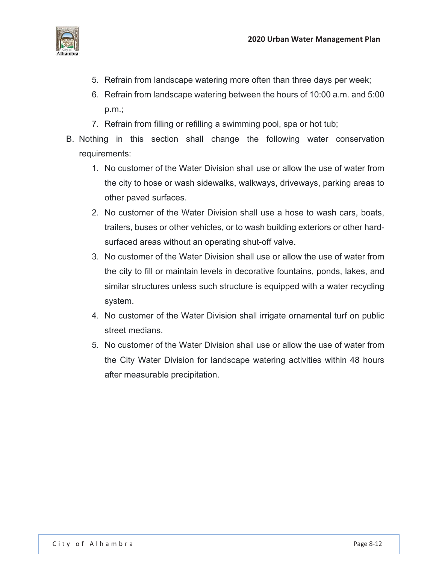

- 5. Refrain from landscape watering more often than three days per week;
- 6. Refrain from landscape watering between the hours of 10:00 a.m. and 5:00 p.m.;
- 7. Refrain from filling or refilling a swimming pool, spa or hot tub;
- B. Nothing in this section shall change the following water conservation requirements:
	- 1. No customer of the Water Division shall use or allow the use of water from the city to hose or wash sidewalks, walkways, driveways, parking areas to other paved surfaces.
	- 2. No customer of the Water Division shall use a hose to wash cars, boats, trailers, buses or other vehicles, or to wash building exteriors or other hardsurfaced areas without an operating shut-off valve.
	- 3. No customer of the Water Division shall use or allow the use of water from the city to fill or maintain levels in decorative fountains, ponds, lakes, and similar structures unless such structure is equipped with a water recycling system.
	- 4. No customer of the Water Division shall irrigate ornamental turf on public street medians.
	- 5. No customer of the Water Division shall use or allow the use of water from the City Water Division for landscape watering activities within 48 hours after measurable precipitation.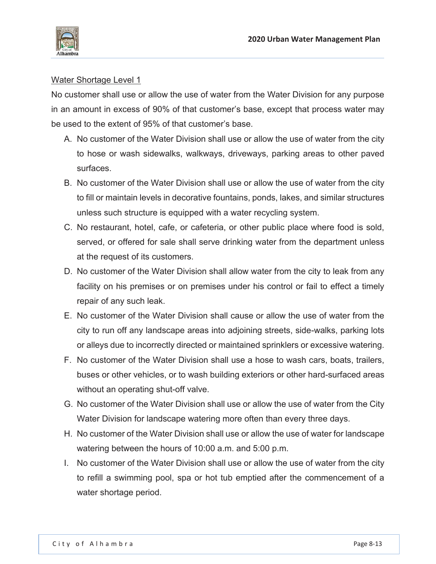

No customer shall use or allow the use of water from the Water Division for any purpose in an amount in excess of 90% of that customer's base, except that process water may be used to the extent of 95% of that customer's base.

- A. No customer of the Water Division shall use or allow the use of water from the city to hose or wash sidewalks, walkways, driveways, parking areas to other paved surfaces.
- B. No customer of the Water Division shall use or allow the use of water from the city to fill or maintain levels in decorative fountains, ponds, lakes, and similar structures unless such structure is equipped with a water recycling system.
- C. No restaurant, hotel, cafe, or cafeteria, or other public place where food is sold, served, or offered for sale shall serve drinking water from the department unless at the request of its customers.
- D. No customer of the Water Division shall allow water from the city to leak from any facility on his premises or on premises under his control or fail to effect a timely repair of any such leak.
- E. No customer of the Water Division shall cause or allow the use of water from the city to run off any landscape areas into adjoining streets, side-walks, parking lots or alleys due to incorrectly directed or maintained sprinklers or excessive watering.
- F. No customer of the Water Division shall use a hose to wash cars, boats, trailers, buses or other vehicles, or to wash building exteriors or other hard-surfaced areas without an operating shut-off valve.
- G. No customer of the Water Division shall use or allow the use of water from the City Water Division for landscape watering more often than every three days.
- H. No customer of the Water Division shall use or allow the use of water for landscape watering between the hours of 10:00 a.m. and 5:00 p.m.
- I. No customer of the Water Division shall use or allow the use of water from the city to refill a swimming pool, spa or hot tub emptied after the commencement of a water shortage period.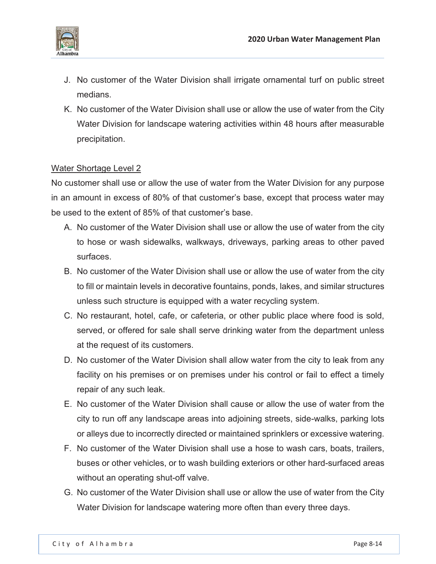

- J. No customer of the Water Division shall irrigate ornamental turf on public street medians.
- K. No customer of the Water Division shall use or allow the use of water from the City Water Division for landscape watering activities within 48 hours after measurable precipitation.

No customer shall use or allow the use of water from the Water Division for any purpose in an amount in excess of 80% of that customer's base, except that process water may be used to the extent of 85% of that customer's base.

- A. No customer of the Water Division shall use or allow the use of water from the city to hose or wash sidewalks, walkways, driveways, parking areas to other paved surfaces.
- B. No customer of the Water Division shall use or allow the use of water from the city to fill or maintain levels in decorative fountains, ponds, lakes, and similar structures unless such structure is equipped with a water recycling system.
- C. No restaurant, hotel, cafe, or cafeteria, or other public place where food is sold, served, or offered for sale shall serve drinking water from the department unless at the request of its customers.
- D. No customer of the Water Division shall allow water from the city to leak from any facility on his premises or on premises under his control or fail to effect a timely repair of any such leak.
- E. No customer of the Water Division shall cause or allow the use of water from the city to run off any landscape areas into adjoining streets, side-walks, parking lots or alleys due to incorrectly directed or maintained sprinklers or excessive watering.
- F. No customer of the Water Division shall use a hose to wash cars, boats, trailers, buses or other vehicles, or to wash building exteriors or other hard-surfaced areas without an operating shut-off valve.
- G. No customer of the Water Division shall use or allow the use of water from the City Water Division for landscape watering more often than every three days.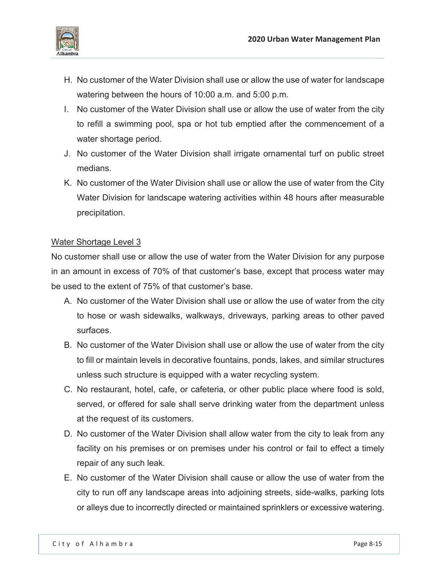

- H. No customer of the Water Division shall use or allow the use of water for landscape watering between the hours of 10:00 a.m. and 5:00 p.m.
- I. No customer of the Water Division shall use or allow the use of water from the city to refill a swimming pool, spa or hot tub emptied after the commencement of a water shortage period.
- J. No customer of the Water Division shall irrigate ornamental turf on public street medians.
- K. No customer of the Water Division shall use or allow the use of water from the City Water Division for landscape watering activities within 48 hours after measurable precipitation.

No customer shall use or allow the use of water from the Water Division for any purpose in an amount in excess of 70% of that customer's base, except that process water may be used to the extent of 75% of that customer's base.

- A. No customer of the Water Division shall use or allow the use of water from the city to hose or wash sidewalks, walkways, driveways, parking areas to other paved surfaces.
- B. No customer of the Water Division shall use or allow the use of water from the city to fill or maintain levels in decorative fountains, ponds, lakes, and similar structures unless such structure is equipped with a water recycling system.
- C. No restaurant, hotel, cafe, or cafeteria, or other public place where food is sold, served, or offered for sale shall serve drinking water from the department unless at the request of its customers.
- D. No customer of the Water Division shall allow water from the city to leak from any facility on his premises or on premises under his control or fail to effect a timely repair of any such leak.
- E. No customer of the Water Division shall cause or allow the use of water from the city to run off any landscape areas into adjoining streets, side-walks, parking lots or alleys due to incorrectly directed or maintained sprinklers or excessive watering.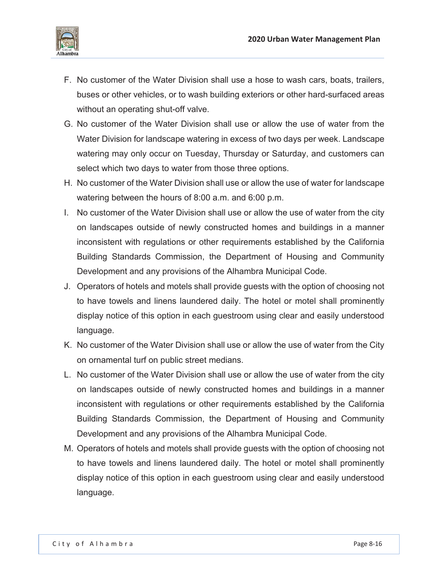

- F. No customer of the Water Division shall use a hose to wash cars, boats, trailers, buses or other vehicles, or to wash building exteriors or other hard-surfaced areas without an operating shut-off valve.
- G. No customer of the Water Division shall use or allow the use of water from the Water Division for landscape watering in excess of two days per week. Landscape watering may only occur on Tuesday, Thursday or Saturday, and customers can select which two days to water from those three options.
- H. No customer of the Water Division shall use or allow the use of water for landscape watering between the hours of 8:00 a.m. and 6:00 p.m.
- I. No customer of the Water Division shall use or allow the use of water from the city on landscapes outside of newly constructed homes and buildings in a manner inconsistent with regulations or other requirements established by the California Building Standards Commission, the Department of Housing and Community Development and any provisions of the Alhambra Municipal Code.
- J. Operators of hotels and motels shall provide guests with the option of choosing not to have towels and linens laundered daily. The hotel or motel shall prominently display notice of this option in each guestroom using clear and easily understood language.
- K. No customer of the Water Division shall use or allow the use of water from the City on ornamental turf on public street medians.
- L. No customer of the Water Division shall use or allow the use of water from the city on landscapes outside of newly constructed homes and buildings in a manner inconsistent with regulations or other requirements established by the California Building Standards Commission, the Department of Housing and Community Development and any provisions of the Alhambra Municipal Code.
- M. Operators of hotels and motels shall provide guests with the option of choosing not to have towels and linens laundered daily. The hotel or motel shall prominently display notice of this option in each guestroom using clear and easily understood language.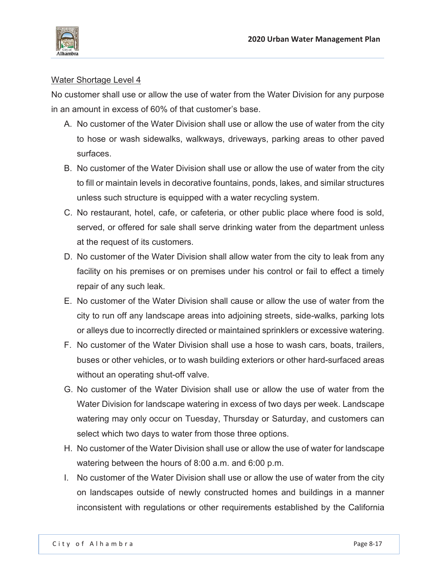

No customer shall use or allow the use of water from the Water Division for any purpose in an amount in excess of 60% of that customer's base.

- A. No customer of the Water Division shall use or allow the use of water from the city to hose or wash sidewalks, walkways, driveways, parking areas to other paved surfaces.
- B. No customer of the Water Division shall use or allow the use of water from the city to fill or maintain levels in decorative fountains, ponds, lakes, and similar structures unless such structure is equipped with a water recycling system.
- C. No restaurant, hotel, cafe, or cafeteria, or other public place where food is sold, served, or offered for sale shall serve drinking water from the department unless at the request of its customers.
- D. No customer of the Water Division shall allow water from the city to leak from any facility on his premises or on premises under his control or fail to effect a timely repair of any such leak.
- E. No customer of the Water Division shall cause or allow the use of water from the city to run off any landscape areas into adjoining streets, side-walks, parking lots or alleys due to incorrectly directed or maintained sprinklers or excessive watering.
- F. No customer of the Water Division shall use a hose to wash cars, boats, trailers, buses or other vehicles, or to wash building exteriors or other hard-surfaced areas without an operating shut-off valve.
- G. No customer of the Water Division shall use or allow the use of water from the Water Division for landscape watering in excess of two days per week. Landscape watering may only occur on Tuesday, Thursday or Saturday, and customers can select which two days to water from those three options.
- H. No customer of the Water Division shall use or allow the use of water for landscape watering between the hours of 8:00 a.m. and 6:00 p.m.
- I. No customer of the Water Division shall use or allow the use of water from the city on landscapes outside of newly constructed homes and buildings in a manner inconsistent with regulations or other requirements established by the California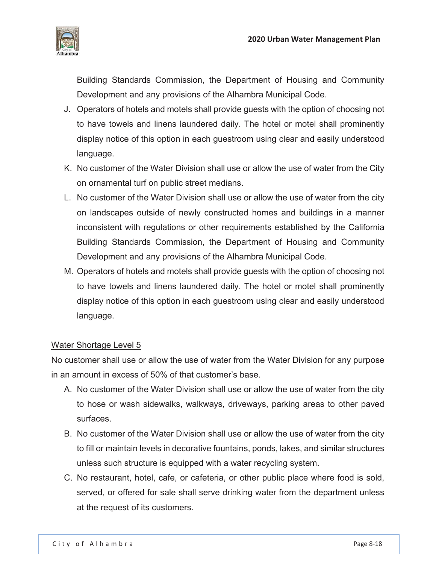

Building Standards Commission, the Department of Housing and Community Development and any provisions of the Alhambra Municipal Code.

- J. Operators of hotels and motels shall provide guests with the option of choosing not to have towels and linens laundered daily. The hotel or motel shall prominently display notice of this option in each guestroom using clear and easily understood language.
- K. No customer of the Water Division shall use or allow the use of water from the City on ornamental turf on public street medians.
- L. No customer of the Water Division shall use or allow the use of water from the city on landscapes outside of newly constructed homes and buildings in a manner inconsistent with regulations or other requirements established by the California Building Standards Commission, the Department of Housing and Community Development and any provisions of the Alhambra Municipal Code.
- M. Operators of hotels and motels shall provide guests with the option of choosing not to have towels and linens laundered daily. The hotel or motel shall prominently display notice of this option in each guestroom using clear and easily understood language.

### Water Shortage Level 5

No customer shall use or allow the use of water from the Water Division for any purpose in an amount in excess of 50% of that customer's base.

- A. No customer of the Water Division shall use or allow the use of water from the city to hose or wash sidewalks, walkways, driveways, parking areas to other paved surfaces.
- B. No customer of the Water Division shall use or allow the use of water from the city to fill or maintain levels in decorative fountains, ponds, lakes, and similar structures unless such structure is equipped with a water recycling system.
- C. No restaurant, hotel, cafe, or cafeteria, or other public place where food is sold, served, or offered for sale shall serve drinking water from the department unless at the request of its customers.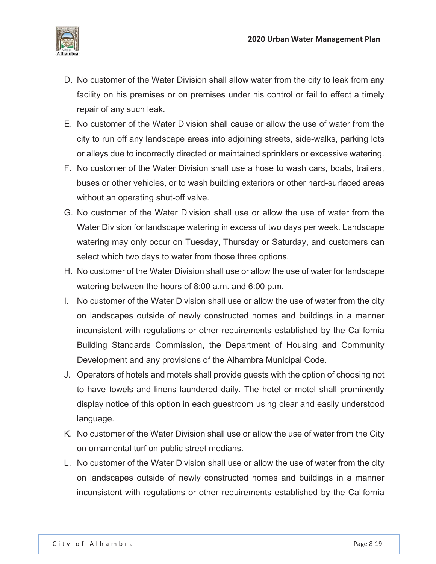

- D. No customer of the Water Division shall allow water from the city to leak from any facility on his premises or on premises under his control or fail to effect a timely repair of any such leak.
- E. No customer of the Water Division shall cause or allow the use of water from the city to run off any landscape areas into adjoining streets, side-walks, parking lots or alleys due to incorrectly directed or maintained sprinklers or excessive watering.
- F. No customer of the Water Division shall use a hose to wash cars, boats, trailers, buses or other vehicles, or to wash building exteriors or other hard-surfaced areas without an operating shut-off valve.
- G. No customer of the Water Division shall use or allow the use of water from the Water Division for landscape watering in excess of two days per week. Landscape watering may only occur on Tuesday, Thursday or Saturday, and customers can select which two days to water from those three options.
- H. No customer of the Water Division shall use or allow the use of water for landscape watering between the hours of 8:00 a.m. and 6:00 p.m.
- I. No customer of the Water Division shall use or allow the use of water from the city on landscapes outside of newly constructed homes and buildings in a manner inconsistent with regulations or other requirements established by the California Building Standards Commission, the Department of Housing and Community Development and any provisions of the Alhambra Municipal Code.
- J. Operators of hotels and motels shall provide guests with the option of choosing not to have towels and linens laundered daily. The hotel or motel shall prominently display notice of this option in each guestroom using clear and easily understood language.
- K. No customer of the Water Division shall use or allow the use of water from the City on ornamental turf on public street medians.
- L. No customer of the Water Division shall use or allow the use of water from the city on landscapes outside of newly constructed homes and buildings in a manner inconsistent with regulations or other requirements established by the California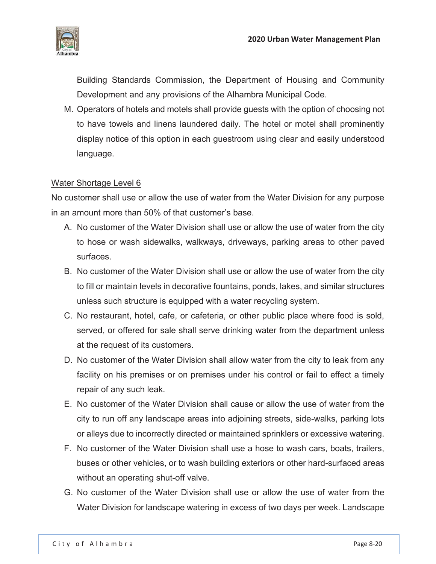

Building Standards Commission, the Department of Housing and Community Development and any provisions of the Alhambra Municipal Code.

M. Operators of hotels and motels shall provide guests with the option of choosing not to have towels and linens laundered daily. The hotel or motel shall prominently display notice of this option in each guestroom using clear and easily understood language.

### Water Shortage Level 6

No customer shall use or allow the use of water from the Water Division for any purpose in an amount more than 50% of that customer's base.

- A. No customer of the Water Division shall use or allow the use of water from the city to hose or wash sidewalks, walkways, driveways, parking areas to other paved surfaces.
- B. No customer of the Water Division shall use or allow the use of water from the city to fill or maintain levels in decorative fountains, ponds, lakes, and similar structures unless such structure is equipped with a water recycling system.
- C. No restaurant, hotel, cafe, or cafeteria, or other public place where food is sold, served, or offered for sale shall serve drinking water from the department unless at the request of its customers.
- D. No customer of the Water Division shall allow water from the city to leak from any facility on his premises or on premises under his control or fail to effect a timely repair of any such leak.
- E. No customer of the Water Division shall cause or allow the use of water from the city to run off any landscape areas into adjoining streets, side-walks, parking lots or alleys due to incorrectly directed or maintained sprinklers or excessive watering.
- F. No customer of the Water Division shall use a hose to wash cars, boats, trailers, buses or other vehicles, or to wash building exteriors or other hard-surfaced areas without an operating shut-off valve.
- G. No customer of the Water Division shall use or allow the use of water from the Water Division for landscape watering in excess of two days per week. Landscape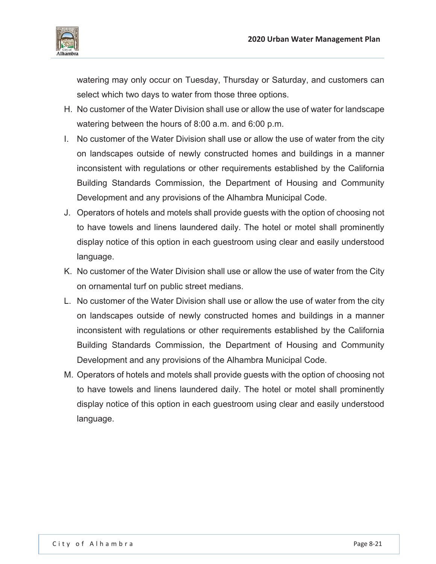

watering may only occur on Tuesday, Thursday or Saturday, and customers can select which two days to water from those three options.

- H. No customer of the Water Division shall use or allow the use of water for landscape watering between the hours of 8:00 a.m. and 6:00 p.m.
- I. No customer of the Water Division shall use or allow the use of water from the city on landscapes outside of newly constructed homes and buildings in a manner inconsistent with regulations or other requirements established by the California Building Standards Commission, the Department of Housing and Community Development and any provisions of the Alhambra Municipal Code.
- J. Operators of hotels and motels shall provide guests with the option of choosing not to have towels and linens laundered daily. The hotel or motel shall prominently display notice of this option in each guestroom using clear and easily understood language.
- K. No customer of the Water Division shall use or allow the use of water from the City on ornamental turf on public street medians.
- L. No customer of the Water Division shall use or allow the use of water from the city on landscapes outside of newly constructed homes and buildings in a manner inconsistent with regulations or other requirements established by the California Building Standards Commission, the Department of Housing and Community Development and any provisions of the Alhambra Municipal Code.
- M. Operators of hotels and motels shall provide guests with the option of choosing not to have towels and linens laundered daily. The hotel or motel shall prominently display notice of this option in each guestroom using clear and easily understood language.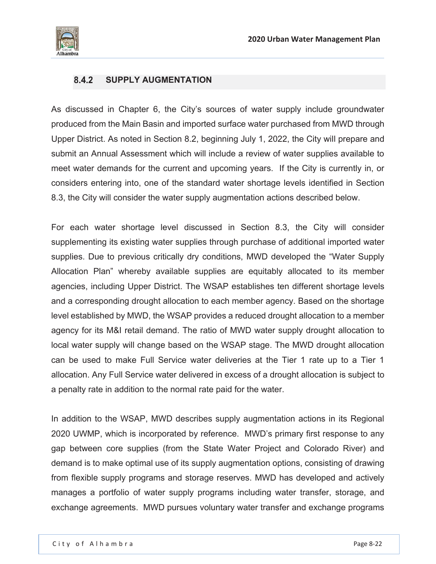

### **SUPPLY AUGMENTATION**

As discussed in Chapter 6, the City's sources of water supply include groundwater produced from the Main Basin and imported surface water purchased from MWD through Upper District. As noted in Section 8.2, beginning July 1, 2022, the City will prepare and submit an Annual Assessment which will include a review of water supplies available to meet water demands for the current and upcoming years. If the City is currently in, or considers entering into, one of the standard water shortage levels identified in Section 8.3, the City will consider the water supply augmentation actions described below.

For each water shortage level discussed in Section 8.3, the City will consider supplementing its existing water supplies through purchase of additional imported water supplies. Due to previous critically dry conditions, MWD developed the "Water Supply Allocation Plan" whereby available supplies are equitably allocated to its member agencies, including Upper District. The WSAP establishes ten different shortage levels and a corresponding drought allocation to each member agency. Based on the shortage level established by MWD, the WSAP provides a reduced drought allocation to a member agency for its M&I retail demand. The ratio of MWD water supply drought allocation to local water supply will change based on the WSAP stage. The MWD drought allocation can be used to make Full Service water deliveries at the Tier 1 rate up to a Tier 1 allocation. Any Full Service water delivered in excess of a drought allocation is subject to a penalty rate in addition to the normal rate paid for the water.

In addition to the WSAP, MWD describes supply augmentation actions in its Regional 2020 UWMP, which is incorporated by reference. MWD's primary first response to any gap between core supplies (from the State Water Project and Colorado River) and demand is to make optimal use of its supply augmentation options, consisting of drawing from flexible supply programs and storage reserves. MWD has developed and actively manages a portfolio of water supply programs including water transfer, storage, and exchange agreements. MWD pursues voluntary water transfer and exchange programs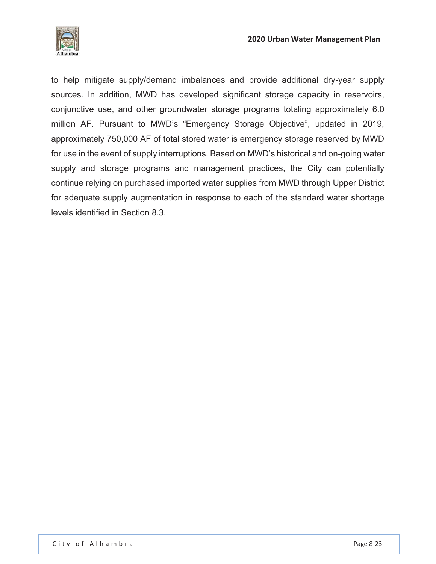

to help mitigate supply/demand imbalances and provide additional dry-year supply sources. In addition, MWD has developed significant storage capacity in reservoirs, conjunctive use, and other groundwater storage programs totaling approximately 6.0 million AF. Pursuant to MWD's "Emergency Storage Objective", updated in 2019, approximately 750,000 AF of total stored water is emergency storage reserved by MWD for use in the event of supply interruptions. Based on MWD's historical and on-going water supply and storage programs and management practices, the City can potentially continue relying on purchased imported water supplies from MWD through Upper District for adequate supply augmentation in response to each of the standard water shortage levels identified in Section 8.3.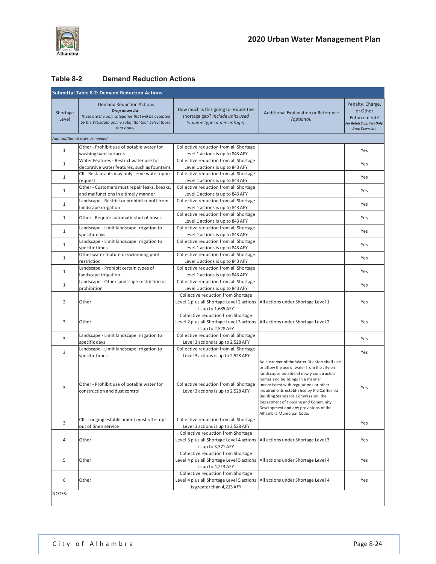

### **Table 8-2 Demand Reduction Actions**

| <b>Submittal Table 8-2: Demand Reduction Actions</b> |                                                                                                                                                                               |                                                                                                                |                                                                                                                                                                                                                                                                                                                                                                                                                   |                                                                                                    |  |  |
|------------------------------------------------------|-------------------------------------------------------------------------------------------------------------------------------------------------------------------------------|----------------------------------------------------------------------------------------------------------------|-------------------------------------------------------------------------------------------------------------------------------------------------------------------------------------------------------------------------------------------------------------------------------------------------------------------------------------------------------------------------------------------------------------------|----------------------------------------------------------------------------------------------------|--|--|
| Shortage<br>Level                                    | <b>Demand Reduction Actions</b><br>Drop down list<br>These are the only categories that will be accepted<br>by the WUEdata online submittal tool. Select those<br>that apply. | How much is this going to reduce the<br>shortage gap? Include units used<br>(volume type or percentage)        | Additional Explanation or Reference<br>(optional)                                                                                                                                                                                                                                                                                                                                                                 | Penalty, Charge,<br>or Other<br>Enforcement?<br><b>For Retail Suppliers Only</b><br>Drop Down List |  |  |
|                                                      | Add additional rows as needed                                                                                                                                                 |                                                                                                                |                                                                                                                                                                                                                                                                                                                                                                                                                   |                                                                                                    |  |  |
| $\mathbf{1}$                                         | Other - Prohibit use of potable water for<br>washing hard surfaces                                                                                                            | Collective reduction from all Shortage<br>Level 1 actions is up to 843 AFY                                     |                                                                                                                                                                                                                                                                                                                                                                                                                   | Yes                                                                                                |  |  |
| $\mathbf{1}$                                         | Water Features - Restrict water use for<br>decorative water features, such as fountains                                                                                       | Collective reduction from all Shortage<br>Level 1 actions is up to 843 AFY                                     |                                                                                                                                                                                                                                                                                                                                                                                                                   | Yes                                                                                                |  |  |
| 1                                                    | CII - Restaurants may only serve water upon<br>request                                                                                                                        | Collective reduction from all Shortage<br>Level 1 actions is up to 843 AFY                                     |                                                                                                                                                                                                                                                                                                                                                                                                                   | Yes                                                                                                |  |  |
| $\mathbf{1}$                                         | Other - Customers must repair leaks, breaks,<br>and malfunctions in a timely manner                                                                                           | Collective reduction from all Shortage<br>Level 1 actions is up to 843 AFY                                     |                                                                                                                                                                                                                                                                                                                                                                                                                   | Yes                                                                                                |  |  |
| 1                                                    | Landscape - Restrict or prohibit runoff from<br>landscape irrigation                                                                                                          | Collective reduction from all Shortage<br>Level 1 actions is up to 843 AFY                                     |                                                                                                                                                                                                                                                                                                                                                                                                                   | Yes                                                                                                |  |  |
| $\mathbf{1}$                                         | Other - Require automatic shut of hoses                                                                                                                                       | Collective reduction from all Shortage                                                                         |                                                                                                                                                                                                                                                                                                                                                                                                                   | Yes                                                                                                |  |  |
| $\mathbf{1}$                                         | Landscape - Limit landscape irrigation to                                                                                                                                     | Level 1 actions is up to 843 AFY<br>Collective reduction from all Shortage<br>Level 1 actions is up to 843 AFY |                                                                                                                                                                                                                                                                                                                                                                                                                   | Yes                                                                                                |  |  |
| $\mathbf{1}$                                         | specific days<br>Landscape - Limit landscape irrigation to                                                                                                                    | Collective reduction from all Shortage                                                                         |                                                                                                                                                                                                                                                                                                                                                                                                                   | Yes                                                                                                |  |  |
| $\mathbf{1}$                                         | specific times<br>Other water feature or swimming pool                                                                                                                        | Level 1 actions is up to 843 AFY<br>Collective reduction from all Shortage                                     |                                                                                                                                                                                                                                                                                                                                                                                                                   | Yes                                                                                                |  |  |
| 1                                                    | restriction<br>Landscape - Prohibit certain types of                                                                                                                          | Level 1 actions is up to 843 AFY<br>Collective reduction from all Shortage                                     |                                                                                                                                                                                                                                                                                                                                                                                                                   | Yes                                                                                                |  |  |
| 1                                                    | landscape irrigation<br>Landscape - Other landscape restriction or                                                                                                            | Level 1 actions is up to 843 AFY<br>Collective reduction from all Shortage                                     |                                                                                                                                                                                                                                                                                                                                                                                                                   | Yes                                                                                                |  |  |
|                                                      | prohibition                                                                                                                                                                   | Level 1 actions is up to 843 AFY<br>Collective reduction from Shortage                                         |                                                                                                                                                                                                                                                                                                                                                                                                                   |                                                                                                    |  |  |
| $\overline{2}$                                       | Other                                                                                                                                                                         | Level 1 plus all Shortage Level 2 actions<br>is up to 1,685 AFY                                                | All actions under Shortage Level 1                                                                                                                                                                                                                                                                                                                                                                                | Yes                                                                                                |  |  |
| 3                                                    | Other                                                                                                                                                                         | Collective reduction from Shortage<br>Level 2 plus all Shortage Level 3 actions<br>is up to 2,528 AFY          | All actions under Shortage Level 2                                                                                                                                                                                                                                                                                                                                                                                | Yes                                                                                                |  |  |
| 3                                                    | Landscape - Limit landscape irrigation to<br>specific days                                                                                                                    | Collective reduction from all Shortage<br>Level 3 actions is up to 2,528 AFY                                   |                                                                                                                                                                                                                                                                                                                                                                                                                   | Yes                                                                                                |  |  |
| 3                                                    | Landscape - Limit landscape irrigation to<br>specific times                                                                                                                   | Collective reduction from all Shortage<br>Level 3 actions is up to 2,528 AFY                                   |                                                                                                                                                                                                                                                                                                                                                                                                                   | Yes                                                                                                |  |  |
| 3                                                    | Other - Prohibit use of potable water for<br>construction and dust control                                                                                                    | Collective reduction from all Shortage<br>Level 3 actions is up to 2,528 AFY                                   | No customer of the Water Division shall use<br>or allow the use of water from the city on<br>landscapes outside of newly constructed<br>homes and buildings in a manner<br>inconsistent with regulations or other<br>requirements established by the California<br>Building Standards Commission, the<br>Department of Housing and Community<br>Development and any provisions of the<br>Alhambra Municipal Code. | Yes                                                                                                |  |  |
| 3                                                    | CII - Lodging establishment must offer opt<br>out of linen service                                                                                                            | Collective reduction from all Shortage<br>Level 3 actions is up to 2,528 AFY                                   |                                                                                                                                                                                                                                                                                                                                                                                                                   | Yes                                                                                                |  |  |
| 4                                                    | Other                                                                                                                                                                         | Collective reduction from Shortage<br>Level 3 plus all Shortage Level 4 actions<br>is up to 3,371 AFY          | All actions under Shortage Level 3                                                                                                                                                                                                                                                                                                                                                                                | Yes                                                                                                |  |  |
| 5                                                    | Other                                                                                                                                                                         | Collective reduction from Shortage<br>Level 4 plus all Shortage Level 5 actions<br>is up to 4,213 AFY          | All actions under Shortage Level 4                                                                                                                                                                                                                                                                                                                                                                                | Yes                                                                                                |  |  |
| 6                                                    | Other                                                                                                                                                                         | Collective reduction from Shortage<br>Level 4 plus all Shortage Level 5 actions<br>is greater than 4,213 AFY   | All actions under Shortage Level 4                                                                                                                                                                                                                                                                                                                                                                                | Yes                                                                                                |  |  |
| NOTES:                                               |                                                                                                                                                                               |                                                                                                                |                                                                                                                                                                                                                                                                                                                                                                                                                   |                                                                                                    |  |  |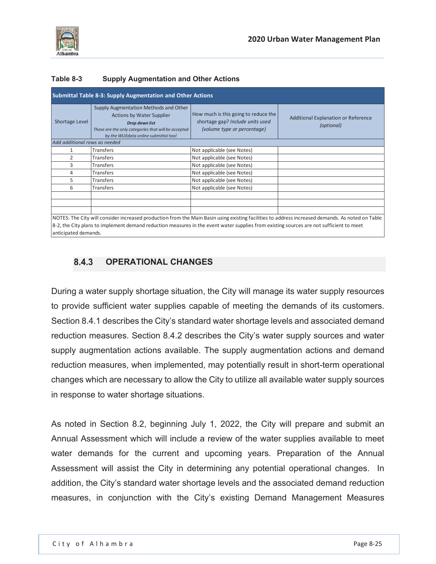

anticipated demands.

### **Table 8-3 Supply Augmentation and Other Actions**

| Shortage Level                | Supply Augmentation Methods and Other<br><b>Actions by Water Supplier</b><br>Drop down list<br>These are the only categories that will be accepted<br>by the WUEdata online submittal tool | How much is this going to reduce the<br>shortage gap? Include units used<br>(volume type or percentage) | Additional Explanation or Reference<br>(optional) |
|-------------------------------|--------------------------------------------------------------------------------------------------------------------------------------------------------------------------------------------|---------------------------------------------------------------------------------------------------------|---------------------------------------------------|
| Add additional rows as needed |                                                                                                                                                                                            |                                                                                                         |                                                   |
| 1                             | <b>Transfers</b>                                                                                                                                                                           | Not applicable (see Notes)                                                                              |                                                   |
| 2                             | <b>Transfers</b>                                                                                                                                                                           | Not applicable (see Notes)                                                                              |                                                   |
| 3                             | Transfers                                                                                                                                                                                  | Not applicable (see Notes)                                                                              |                                                   |
| 4                             | <b>Transfers</b>                                                                                                                                                                           | Not applicable (see Notes)                                                                              |                                                   |
| 5                             | <b>Transfers</b>                                                                                                                                                                           | Not applicable (see Notes)                                                                              |                                                   |
| 6                             | <b>Transfers</b>                                                                                                                                                                           | Not applicable (see Notes)                                                                              |                                                   |
|                               |                                                                                                                                                                                            |                                                                                                         |                                                   |
|                               |                                                                                                                                                                                            |                                                                                                         |                                                   |

# **OPERATIONAL CHANGES**

During a water supply shortage situation, the City will manage its water supply resources to provide sufficient water supplies capable of meeting the demands of its customers. Section 8.4.1 describes the City's standard water shortage levels and associated demand reduction measures. Section 8.4.2 describes the City's water supply sources and water supply augmentation actions available. The supply augmentation actions and demand reduction measures, when implemented, may potentially result in short-term operational changes which are necessary to allow the City to utilize all available water supply sources in response to water shortage situations.

As noted in Section 8.2, beginning July 1, 2022, the City will prepare and submit an Annual Assessment which will include a review of the water supplies available to meet water demands for the current and upcoming years. Preparation of the Annual Assessment will assist the City in determining any potential operational changes. In addition, the City's standard water shortage levels and the associated demand reduction measures, in conjunction with the City's existing Demand Management Measures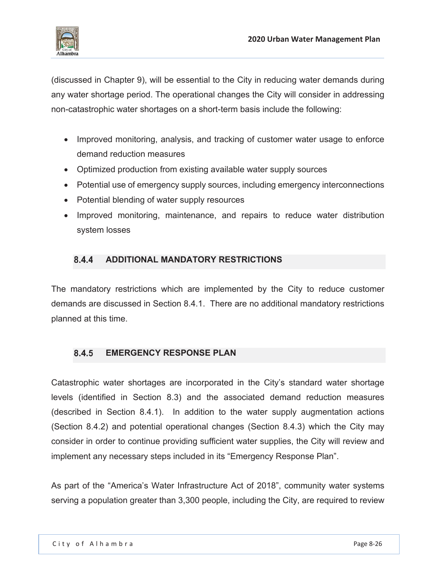

(discussed in Chapter 9), will be essential to the City in reducing water demands during any water shortage period. The operational changes the City will consider in addressing non-catastrophic water shortages on a short-term basis include the following:

- Improved monitoring, analysis, and tracking of customer water usage to enforce demand reduction measures
- Optimized production from existing available water supply sources
- Potential use of emergency supply sources, including emergency interconnections
- Potential blending of water supply resources
- Improved monitoring, maintenance, and repairs to reduce water distribution system losses

# **ADDITIONAL MANDATORY RESTRICTIONS**

The mandatory restrictions which are implemented by the City to reduce customer demands are discussed in Section 8.4.1. There are no additional mandatory restrictions planned at this time.

# **8.4.5 EMERGENCY RESPONSE PLAN**

Catastrophic water shortages are incorporated in the City's standard water shortage levels (identified in Section 8.3) and the associated demand reduction measures (described in Section 8.4.1). In addition to the water supply augmentation actions (Section 8.4.2) and potential operational changes (Section 8.4.3) which the City may consider in order to continue providing sufficient water supplies, the City will review and implement any necessary steps included in its "Emergency Response Plan".

As part of the "America's Water Infrastructure Act of 2018", community water systems serving a population greater than 3,300 people, including the City, are required to review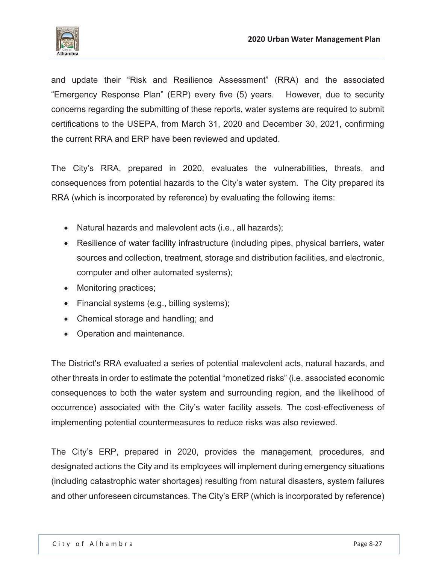

and update their "Risk and Resilience Assessment" (RRA) and the associated "Emergency Response Plan" (ERP) every five (5) years. However, due to security concerns regarding the submitting of these reports, water systems are required to submit certifications to the USEPA, from March 31, 2020 and December 30, 2021, confirming the current RRA and ERP have been reviewed and updated.

The City's RRA, prepared in 2020, evaluates the vulnerabilities, threats, and consequences from potential hazards to the City's water system. The City prepared its RRA (which is incorporated by reference) by evaluating the following items:

- Natural hazards and malevolent acts (i.e., all hazards);
- Resilience of water facility infrastructure (including pipes, physical barriers, water sources and collection, treatment, storage and distribution facilities, and electronic, computer and other automated systems);
- Monitoring practices;
- $\bullet$  Financial systems (e.g., billing systems);
- Chemical storage and handling; and
- Operation and maintenance.

The District's RRA evaluated a series of potential malevolent acts, natural hazards, and other threats in order to estimate the potential "monetized risks" (i.e. associated economic consequences to both the water system and surrounding region, and the likelihood of occurrence) associated with the City's water facility assets. The cost-effectiveness of implementing potential countermeasures to reduce risks was also reviewed.

The City's ERP, prepared in 2020, provides the management, procedures, and designated actions the City and its employees will implement during emergency situations (including catastrophic water shortages) resulting from natural disasters, system failures and other unforeseen circumstances. The City's ERP (which is incorporated by reference)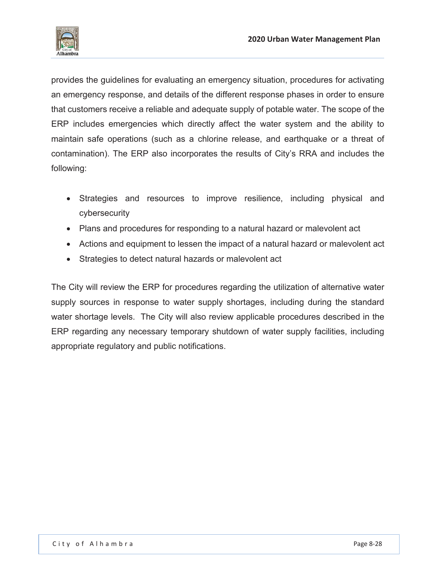

provides the guidelines for evaluating an emergency situation, procedures for activating an emergency response, and details of the different response phases in order to ensure that customers receive a reliable and adequate supply of potable water. The scope of the ERP includes emergencies which directly affect the water system and the ability to maintain safe operations (such as a chlorine release, and earthquake or a threat of contamination). The ERP also incorporates the results of City's RRA and includes the following:

- Strategies and resources to improve resilience, including physical and cybersecurity
- Plans and procedures for responding to a natural hazard or malevolent act
- Actions and equipment to lessen the impact of a natural hazard or malevolent act
- Strategies to detect natural hazards or malevolent act

The City will review the ERP for procedures regarding the utilization of alternative water supply sources in response to water supply shortages, including during the standard water shortage levels. The City will also review applicable procedures described in the ERP regarding any necessary temporary shutdown of water supply facilities, including appropriate regulatory and public notifications.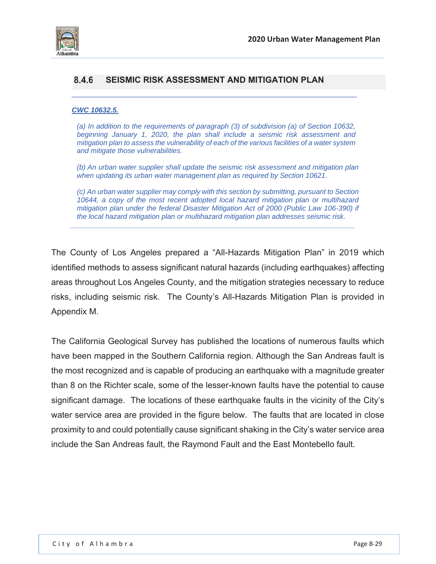

### **SEISMIC RISK ASSESSMENT AND MITIGATION PLAN**

#### *CWC 10632.5.*

*(a) In addition to the requirements of paragraph (3) of subdivision (a) of Section 10632, beginning January 1, 2020, the plan shall include a seismic risk assessment and mitigation plan to assess the vulnerability of each of the various facilities of a water system and mitigate those vulnerabilities.* 

 $\_$  , and the set of the set of the set of the set of the set of the set of the set of the set of the set of the set of the set of the set of the set of the set of the set of the set of the set of the set of the set of th

*(b) An urban water supplier shall update the seismic risk assessment and mitigation plan when updating its urban water management plan as required by Section 10621.* 

*(c) An urban water supplier may comply with this section by submitting, pursuant to Section 10644, a copy of the most recent adopted local hazard mitigation plan or multihazard mitigation plan under the federal Disaster Mitigation Act of 2000 (Public Law 106-390) if the local hazard mitigation plan or multihazard mitigation plan addresses seismic risk.* 

*\_\_\_\_\_\_\_\_\_\_\_\_\_\_\_\_\_\_\_\_\_\_\_\_\_\_\_\_\_\_\_\_\_\_\_\_\_\_\_\_\_\_\_\_\_\_\_\_\_\_\_\_\_\_\_\_\_\_\_\_\_\_\_\_\_\_\_\_\_\_\_\_* 

The County of Los Angeles prepared a "All-Hazards Mitigation Plan" in 2019 which identified methods to assess significant natural hazards (including earthquakes) affecting areas throughout Los Angeles County, and the mitigation strategies necessary to reduce risks, including seismic risk. The County's All-Hazards Mitigation Plan is provided in Appendix M.

The California Geological Survey has published the locations of numerous faults which have been mapped in the Southern California region. Although the San Andreas fault is the most recognized and is capable of producing an earthquake with a magnitude greater than 8 on the Richter scale, some of the lesser-known faults have the potential to cause significant damage. The locations of these earthquake faults in the vicinity of the City's water service area are provided in the figure below. The faults that are located in close proximity to and could potentially cause significant shaking in the City's water service area include the San Andreas fault, the Raymond Fault and the East Montebello fault.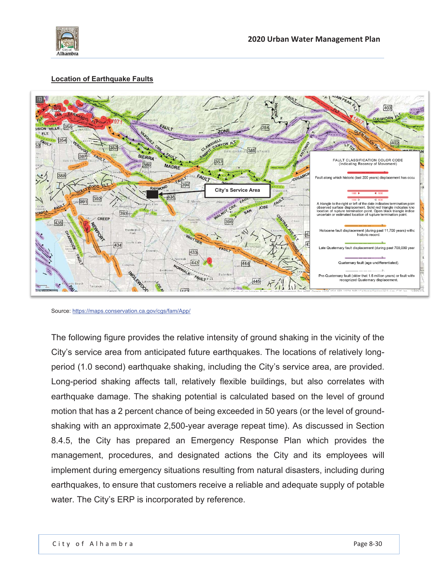

### **Location of Earthquake Faults**



Source: https://maps.conservation.ca.gov/cgs/fam/App/

The following figure provides the relative intensity of ground shaking in the vicinity of the City's service area from anticipated future earthquakes. The locations of relatively longperiod (1.0 second) earthquake shaking, including the City's service area, are provided. Long-period shaking affects tall, relatively flexible buildings, but also correlates with earthquake damage. The shaking potential is calculated based on the level of ground motion that has a 2 percent chance of being exceeded in 50 years (or the level of groundshaking with an approximate 2,500-year average repeat time). As discussed in Section 8.4.5, the City has prepared an Emergency Response Plan which provides the management, procedures, and designated actions the City and its employees will implement during emergency situations resulting from natural disasters, including during earthquakes, to ensure that customers receive a reliable and adequate supply of potable water. The City's ERP is incorporated by reference.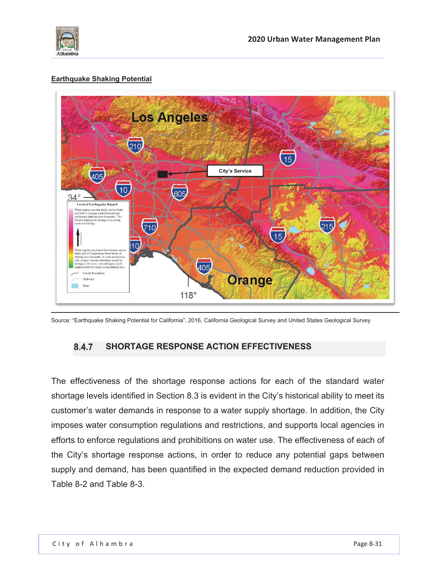

### **Earthquake Shaking Potential**



Source: "Earthquake Shaking Potential for California", 2016, California Geological Survey and United States Geological Survey

# **SHORTAGE RESPONSE ACTION EFFECTIVENESS**

The effectiveness of the shortage response actions for each of the standard water shortage levels identified in Section 8.3 is evident in the City's historical ability to meet its customer's water demands in response to a water supply shortage. In addition, the City imposes water consumption regulations and restrictions, and supports local agencies in efforts to enforce regulations and prohibitions on water use. The effectiveness of each of the City's shortage response actions, in order to reduce any potential gaps between supply and demand, has been quantified in the expected demand reduction provided in Table 8-2 and Table 8-3.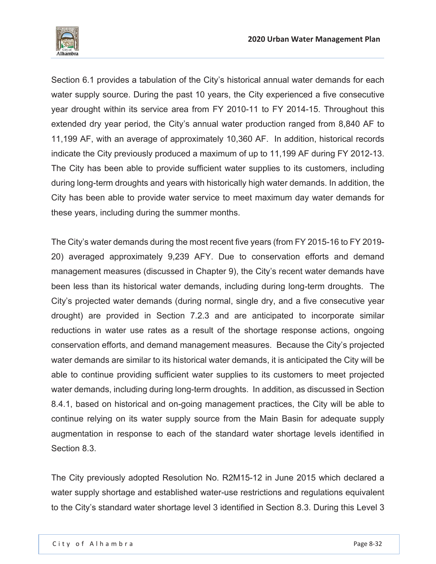

Section 6.1 provides a tabulation of the City's historical annual water demands for each water supply source. During the past 10 years, the City experienced a five consecutive year drought within its service area from FY 2010-11 to FY 2014-15. Throughout this extended dry year period, the City's annual water production ranged from 8,840 AF to 11,199 AF, with an average of approximately 10,360 AF. In addition, historical records indicate the City previously produced a maximum of up to 11,199 AF during FY 2012-13. The City has been able to provide sufficient water supplies to its customers, including during long-term droughts and years with historically high water demands. In addition, the City has been able to provide water service to meet maximum day water demands for these years, including during the summer months.

The City's water demands during the most recent five years (from FY 2015-16 to FY 2019- 20) averaged approximately 9,239 AFY. Due to conservation efforts and demand management measures (discussed in Chapter 9), the City's recent water demands have been less than its historical water demands, including during long-term droughts. The City's projected water demands (during normal, single dry, and a five consecutive year drought) are provided in Section 7.2.3 and are anticipated to incorporate similar reductions in water use rates as a result of the shortage response actions, ongoing conservation efforts, and demand management measures. Because the City's projected water demands are similar to its historical water demands, it is anticipated the City will be able to continue providing sufficient water supplies to its customers to meet projected water demands, including during long-term droughts. In addition, as discussed in Section 8.4.1, based on historical and on-going management practices, the City will be able to continue relying on its water supply source from the Main Basin for adequate supply augmentation in response to each of the standard water shortage levels identified in Section 8.3.

The City previously adopted Resolution No. R2M15-12 in June 2015 which declared a water supply shortage and established water-use restrictions and regulations equivalent to the City's standard water shortage level 3 identified in Section 8.3. During this Level 3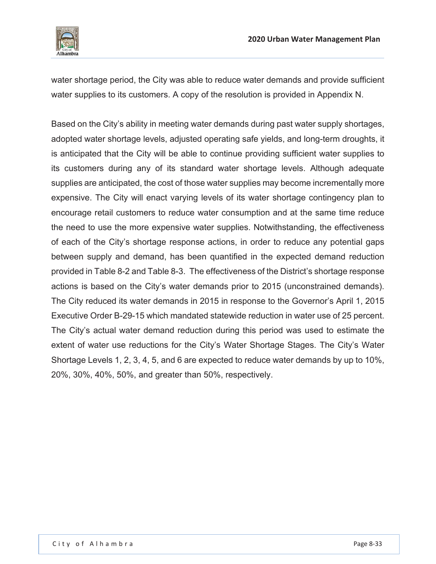

water shortage period, the City was able to reduce water demands and provide sufficient water supplies to its customers. A copy of the resolution is provided in Appendix N.

Based on the City's ability in meeting water demands during past water supply shortages, adopted water shortage levels, adjusted operating safe yields, and long-term droughts, it is anticipated that the City will be able to continue providing sufficient water supplies to its customers during any of its standard water shortage levels. Although adequate supplies are anticipated, the cost of those water supplies may become incrementally more expensive. The City will enact varying levels of its water shortage contingency plan to encourage retail customers to reduce water consumption and at the same time reduce the need to use the more expensive water supplies. Notwithstanding, the effectiveness of each of the City's shortage response actions, in order to reduce any potential gaps between supply and demand, has been quantified in the expected demand reduction provided in Table 8-2 and Table 8-3. The effectiveness of the District's shortage response actions is based on the City's water demands prior to 2015 (unconstrained demands). The City reduced its water demands in 2015 in response to the Governor's April 1, 2015 Executive Order B-29-15 which mandated statewide reduction in water use of 25 percent. The City's actual water demand reduction during this period was used to estimate the extent of water use reductions for the City's Water Shortage Stages. The City's Water Shortage Levels 1, 2, 3, 4, 5, and 6 are expected to reduce water demands by up to 10%, 20%, 30%, 40%, 50%, and greater than 50%, respectively.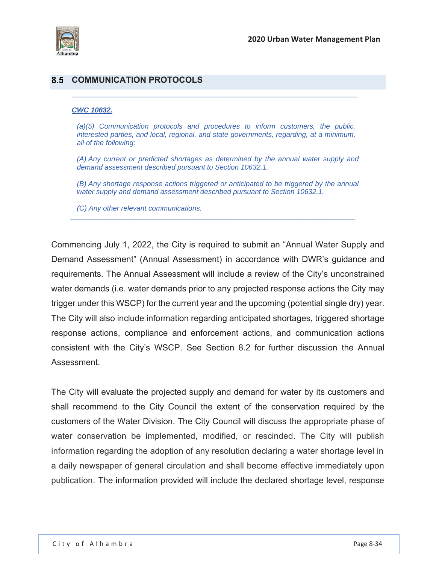

### **8.5 COMMUNICATION PROTOCOLS**

#### *CWC 10632.*

*(a)(5) Communication protocols and procedures to inform customers, the public, interested parties, and local, regional, and state governments, regarding, at a minimum, all of the following:* 

 $\_$  , and the set of the set of the set of the set of the set of the set of the set of the set of the set of the set of the set of the set of the set of the set of the set of the set of the set of the set of the set of th

*(A) Any current or predicted shortages as determined by the annual water supply and demand assessment described pursuant to Section 10632.1.* 

*(B) Any shortage response actions triggered or anticipated to be triggered by the annual water supply and demand assessment described pursuant to Section 10632.1.* 

*\_\_\_\_\_\_\_\_\_\_\_\_\_\_\_\_\_\_\_\_\_\_\_\_\_\_\_\_\_\_\_\_\_\_\_\_\_\_\_\_\_\_\_\_\_\_\_\_\_\_\_\_\_\_\_\_\_\_\_\_\_\_\_\_\_\_\_\_\_\_\_\_* 

*(C) Any other relevant communications.* 

Commencing July 1, 2022, the City is required to submit an "Annual Water Supply and Demand Assessment" (Annual Assessment) in accordance with DWR's guidance and requirements. The Annual Assessment will include a review of the City's unconstrained water demands (i.e. water demands prior to any projected response actions the City may trigger under this WSCP) for the current year and the upcoming (potential single dry) year. The City will also include information regarding anticipated shortages, triggered shortage response actions, compliance and enforcement actions, and communication actions consistent with the City's WSCP. See Section 8.2 for further discussion the Annual Assessment.

The City will evaluate the projected supply and demand for water by its customers and shall recommend to the City Council the extent of the conservation required by the customers of the Water Division. The City Council will discuss the appropriate phase of water conservation be implemented, modified, or rescinded. The City will publish information regarding the adoption of any resolution declaring a water shortage level in a daily newspaper of general circulation and shall become effective immediately upon publication. The information provided will include the declared shortage level, response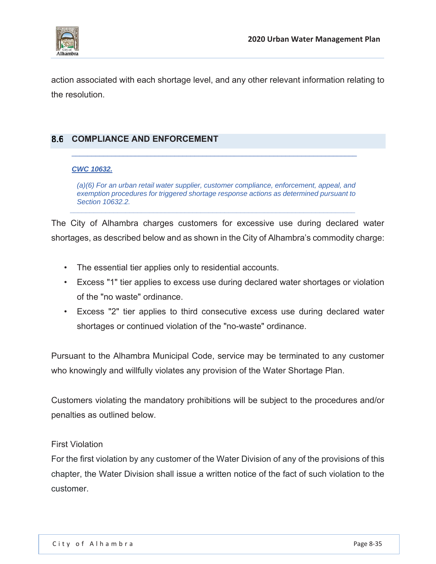

action associated with each shortage level, and any other relevant information relating to the resolution.

# **COMPLIANCE AND ENFORCEMENT**

### *CWC 10632.*

*(a)(6) For an urban retail water supplier, customer compliance, enforcement, appeal, and exemption procedures for triggered shortage response actions as determined pursuant to Section 10632.2.* 

*\_\_\_\_\_\_\_\_\_\_\_\_\_\_\_\_\_\_\_\_\_\_\_\_\_\_\_\_\_\_\_\_\_\_\_\_\_\_\_\_\_\_\_\_\_\_\_\_\_\_\_\_\_\_\_\_\_\_\_\_\_\_\_\_\_\_\_\_\_\_\_\_* 

The City of Alhambra charges customers for excessive use during declared water shortages, as described below and as shown in the City of Alhambra's commodity charge:

- The essential tier applies only to residential accounts.
- Excess "1" tier applies to excess use during declared water shortages or violation of the "no waste" ordinance.
- Excess "2" tier applies to third consecutive excess use during declared water shortages or continued violation of the "no-waste" ordinance.

Pursuant to the Alhambra Municipal Code, service may be terminated to any customer who knowingly and willfully violates any provision of the Water Shortage Plan.

Customers violating the mandatory prohibitions will be subject to the procedures and/or penalties as outlined below.

### First Violation

For the first violation by any customer of the Water Division of any of the provisions of this chapter, the Water Division shall issue a written notice of the fact of such violation to the customer.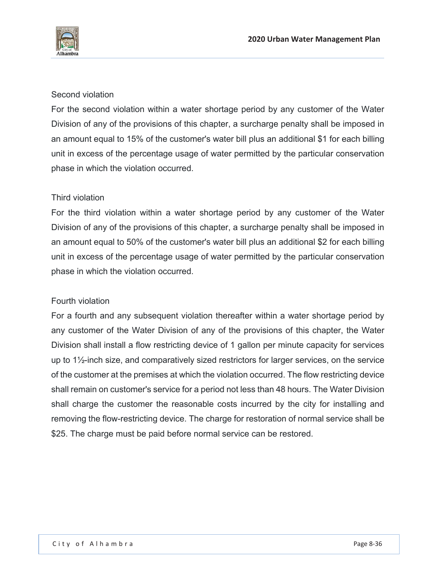

### Second violation

For the second violation within a water shortage period by any customer of the Water Division of any of the provisions of this chapter, a surcharge penalty shall be imposed in an amount equal to 15% of the customer's water bill plus an additional \$1 for each billing unit in excess of the percentage usage of water permitted by the particular conservation phase in which the violation occurred.

### Third violation

For the third violation within a water shortage period by any customer of the Water Division of any of the provisions of this chapter, a surcharge penalty shall be imposed in an amount equal to 50% of the customer's water bill plus an additional \$2 for each billing unit in excess of the percentage usage of water permitted by the particular conservation phase in which the violation occurred.

### Fourth violation

For a fourth and any subsequent violation thereafter within a water shortage period by any customer of the Water Division of any of the provisions of this chapter, the Water Division shall install a flow restricting device of 1 gallon per minute capacity for services up to 1½-inch size, and comparatively sized restrictors for larger services, on the service of the customer at the premises at which the violation occurred. The flow restricting device shall remain on customer's service for a period not less than 48 hours. The Water Division shall charge the customer the reasonable costs incurred by the city for installing and removing the flow-restricting device. The charge for restoration of normal service shall be \$25. The charge must be paid before normal service can be restored.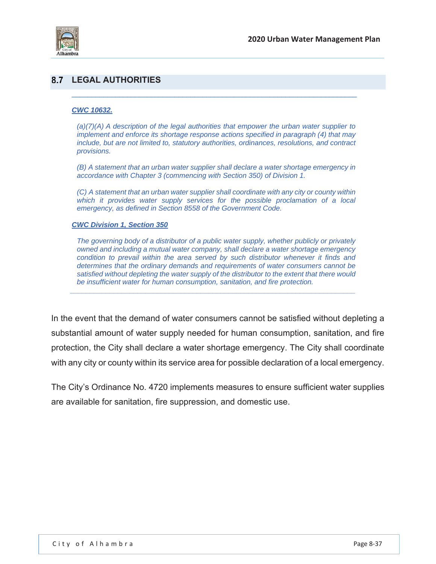

## **LEGAL AUTHORITIES**

#### *CWC 10632.*

*(a)(7)(A) A description of the legal authorities that empower the urban water supplier to implement and enforce its shortage response actions specified in paragraph (4) that may include, but are not limited to, statutory authorities, ordinances, resolutions, and contract provisions.* 

 $\_$  , and the set of the set of the set of the set of the set of the set of the set of the set of the set of the set of the set of the set of the set of the set of the set of the set of the set of the set of the set of th

*(B) A statement that an urban water supplier shall declare a water shortage emergency in accordance with Chapter 3 (commencing with Section 350) of Division 1.* 

*(C) A statement that an urban water supplier shall coordinate with any city or county within*  which it provides water supply services for the possible proclamation of a local *emergency, as defined in Section 8558 of the Government Code.* 

#### *CWC Division 1, Section 350*

*The governing body of a distributor of a public water supply, whether publicly or privately owned and including a mutual water company, shall declare a water shortage emergency condition to prevail within the area served by such distributor whenever it finds and determines that the ordinary demands and requirements of water consumers cannot be satisfied without depleting the water supply of the distributor to the extent that there would be insufficient water for human consumption, sanitation, and fire protection.* 

*\_\_\_\_\_\_\_\_\_\_\_\_\_\_\_\_\_\_\_\_\_\_\_\_\_\_\_\_\_\_\_\_\_\_\_\_\_\_\_\_\_\_\_\_\_\_\_\_\_\_\_\_\_\_\_\_\_\_\_\_\_\_\_\_\_\_\_\_\_\_\_\_* 

In the event that the demand of water consumers cannot be satisfied without depleting a substantial amount of water supply needed for human consumption, sanitation, and fire protection, the City shall declare a water shortage emergency. The City shall coordinate with any city or county within its service area for possible declaration of a local emergency.

The City's Ordinance No. 4720 implements measures to ensure sufficient water supplies are available for sanitation, fire suppression, and domestic use.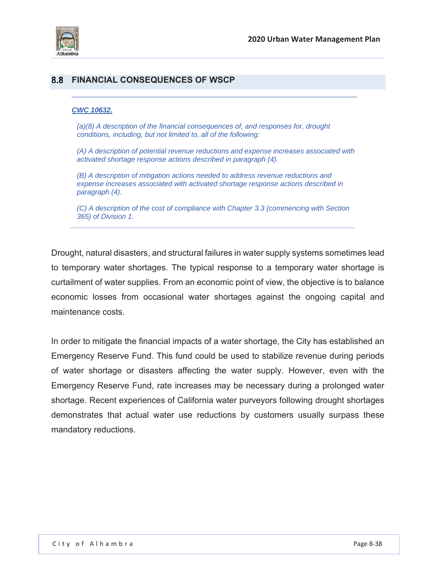

### **FINANCIAL CONSEQUENCES OF WSCP**

#### *CWC 10632.*

*(a)(8) A description of the financial consequences of, and responses for, drought conditions, including, but not limited to, all of the following:* 

*(A) A description of potential revenue reductions and expense increases associated with activated shortage response actions described in paragraph (4).*

 $\_$  , and the set of the set of the set of the set of the set of the set of the set of the set of the set of the set of the set of the set of the set of the set of the set of the set of the set of the set of the set of th

*(B) A description of mitigation actions needed to address revenue reductions and expense increases associated with activated shortage response actions described in paragraph (4).* 

*(C) A description of the cost of compliance with Chapter 3.3 (commencing with Section 365) of Division 1. \_\_\_\_\_\_\_\_\_\_\_\_\_\_\_\_\_\_\_\_\_\_\_\_\_\_\_\_\_\_\_\_\_\_\_\_\_\_\_\_\_\_\_\_\_\_\_\_\_\_\_\_\_\_\_\_\_\_\_\_\_\_\_\_\_\_\_\_\_\_\_\_* 

Drought, natural disasters, and structural failures in water supply systems sometimes lead to temporary water shortages. The typical response to a temporary water shortage is curtailment of water supplies. From an economic point of view, the objective is to balance economic losses from occasional water shortages against the ongoing capital and maintenance costs.

In order to mitigate the financial impacts of a water shortage, the City has established an Emergency Reserve Fund. This fund could be used to stabilize revenue during periods of water shortage or disasters affecting the water supply. However, even with the Emergency Reserve Fund, rate increases may be necessary during a prolonged water shortage. Recent experiences of California water purveyors following drought shortages demonstrates that actual water use reductions by customers usually surpass these mandatory reductions.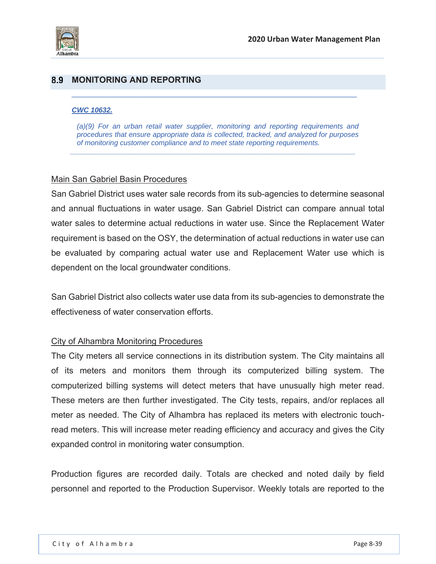

## **8.9 MONITORING AND REPORTING**

#### *CWC 10632.*

*(a)(9) For an urban retail water supplier, monitoring and reporting requirements and procedures that ensure appropriate data is collected, tracked, and analyzed for purposes of monitoring customer compliance and to meet state reporting requirements.* 

*\_\_\_\_\_\_\_\_\_\_\_\_\_\_\_\_\_\_\_\_\_\_\_\_\_\_\_\_\_\_\_\_\_\_\_\_\_\_\_\_\_\_\_\_\_\_\_\_\_\_\_\_\_\_\_\_\_\_\_\_\_\_\_\_\_\_\_\_\_\_\_\_* 

 $\_$  , and the set of the set of the set of the set of the set of the set of the set of the set of the set of the set of the set of the set of the set of the set of the set of the set of the set of the set of the set of th

### Main San Gabriel Basin Procedures

San Gabriel District uses water sale records from its sub-agencies to determine seasonal and annual fluctuations in water usage. San Gabriel District can compare annual total water sales to determine actual reductions in water use. Since the Replacement Water requirement is based on the OSY, the determination of actual reductions in water use can be evaluated by comparing actual water use and Replacement Water use which is dependent on the local groundwater conditions.

San Gabriel District also collects water use data from its sub-agencies to demonstrate the effectiveness of water conservation efforts.

### City of Alhambra Monitoring Procedures

The City meters all service connections in its distribution system. The City maintains all of its meters and monitors them through its computerized billing system. The computerized billing systems will detect meters that have unusually high meter read. These meters are then further investigated. The City tests, repairs, and/or replaces all meter as needed. The City of Alhambra has replaced its meters with electronic touchread meters. This will increase meter reading efficiency and accuracy and gives the City expanded control in monitoring water consumption.

Production figures are recorded daily. Totals are checked and noted daily by field personnel and reported to the Production Supervisor. Weekly totals are reported to the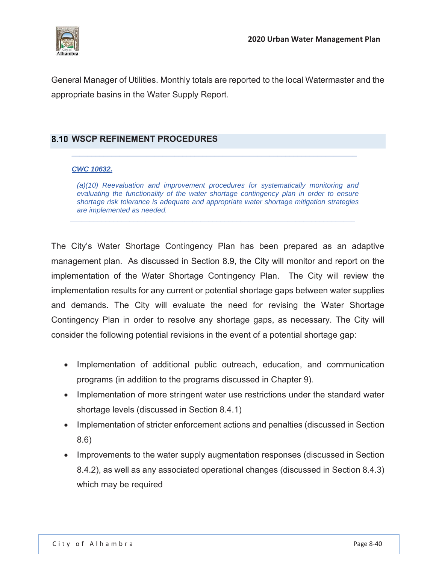

General Manager of Utilities. Monthly totals are reported to the local Watermaster and the appropriate basins in the Water Supply Report.

## **8.10 WSCP REFINEMENT PROCEDURES**

### *CWC 10632.*

*(a)(10) Reevaluation and improvement procedures for systematically monitoring and evaluating the functionality of the water shortage contingency plan in order to ensure shortage risk tolerance is adequate and appropriate water shortage mitigation strategies are implemented as needed. \_\_\_\_\_\_\_\_\_\_\_\_\_\_\_\_\_\_\_\_\_\_\_\_\_\_\_\_\_\_\_\_\_\_\_\_\_\_\_\_\_\_\_\_\_\_\_\_\_\_\_\_\_\_\_\_\_\_\_\_\_\_\_\_\_\_\_\_\_\_\_\_* 

The City's Water Shortage Contingency Plan has been prepared as an adaptive management plan. As discussed in Section 8.9, the City will monitor and report on the implementation of the Water Shortage Contingency Plan. The City will review the implementation results for any current or potential shortage gaps between water supplies and demands. The City will evaluate the need for revising the Water Shortage Contingency Plan in order to resolve any shortage gaps, as necessary. The City will consider the following potential revisions in the event of a potential shortage gap:

- Implementation of additional public outreach, education, and communication programs (in addition to the programs discussed in Chapter 9).
- Implementation of more stringent water use restrictions under the standard water shortage levels (discussed in Section 8.4.1)
- Implementation of stricter enforcement actions and penalties (discussed in Section 8.6)
- Improvements to the water supply augmentation responses (discussed in Section 8.4.2), as well as any associated operational changes (discussed in Section 8.4.3) which may be required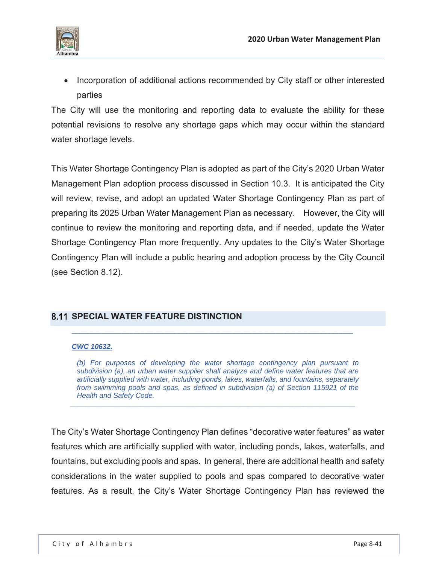

• Incorporation of additional actions recommended by City staff or other interested parties

The City will use the monitoring and reporting data to evaluate the ability for these potential revisions to resolve any shortage gaps which may occur within the standard water shortage levels.

This Water Shortage Contingency Plan is adopted as part of the City's 2020 Urban Water Management Plan adoption process discussed in Section 10.3. It is anticipated the City will review, revise, and adopt an updated Water Shortage Contingency Plan as part of preparing its 2025 Urban Water Management Plan as necessary. However, the City will continue to review the monitoring and reporting data, and if needed, update the Water Shortage Contingency Plan more frequently. Any updates to the City's Water Shortage Contingency Plan will include a public hearing and adoption process by the City Council (see Section 8.12).

# **SPECIAL WATER FEATURE DISTINCTION**

### *CWC 10632.*

*(b) For purposes of developing the water shortage contingency plan pursuant to subdivision (a), an urban water supplier shall analyze and define water features that are artificially supplied with water, including ponds, lakes, waterfalls, and fountains, separately from swimming pools and spas, as defined in subdivision (a) of Section 115921 of the Health and Safety Code.* 

*\_\_\_\_\_\_\_\_\_\_\_\_\_\_\_\_\_\_\_\_\_\_\_\_\_\_\_\_\_\_\_\_\_\_\_\_\_\_\_\_\_\_\_\_\_\_\_\_\_\_\_\_\_\_\_\_\_\_\_\_\_\_\_\_\_\_\_\_\_\_\_\_* 

The City's Water Shortage Contingency Plan defines "decorative water features" as water features which are artificially supplied with water, including ponds, lakes, waterfalls, and fountains, but excluding pools and spas. In general, there are additional health and safety considerations in the water supplied to pools and spas compared to decorative water features. As a result, the City's Water Shortage Contingency Plan has reviewed the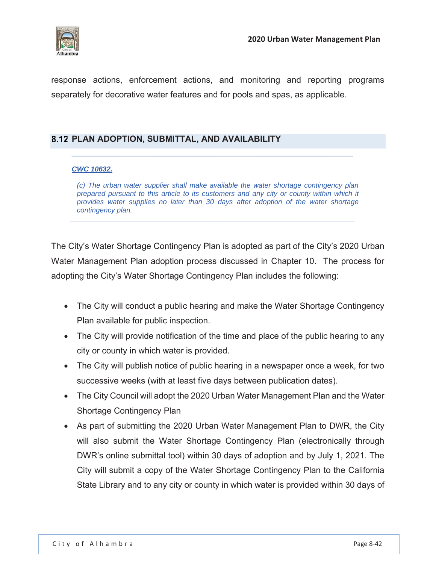

response actions, enforcement actions, and monitoring and reporting programs separately for decorative water features and for pools and spas, as applicable.

### **PLAN ADOPTION, SUBMITTAL, AND AVAILABILITY**

### *CWC 10632.*

*(c) The urban water supplier shall make available the water shortage contingency plan prepared pursuant to this article to its customers and any city or county within which it provides water supplies no later than 30 days after adoption of the water shortage contingency plan. \_\_\_\_\_\_\_\_\_\_\_\_\_\_\_\_\_\_\_\_\_\_\_\_\_\_\_\_\_\_\_\_\_\_\_\_\_\_\_\_\_\_\_\_\_\_\_\_\_\_\_\_\_\_\_\_\_\_\_\_\_\_\_\_\_\_\_\_\_\_\_\_* 

The City's Water Shortage Contingency Plan is adopted as part of the City's 2020 Urban Water Management Plan adoption process discussed in Chapter 10. The process for adopting the City's Water Shortage Contingency Plan includes the following:

- The City will conduct a public hearing and make the Water Shortage Contingency Plan available for public inspection.
- The City will provide notification of the time and place of the public hearing to any city or county in which water is provided.
- The City will publish notice of public hearing in a newspaper once a week, for two successive weeks (with at least five days between publication dates).
- The City Council will adopt the 2020 Urban Water Management Plan and the Water Shortage Contingency Plan
- As part of submitting the 2020 Urban Water Management Plan to DWR, the City will also submit the Water Shortage Contingency Plan (electronically through DWR's online submittal tool) within 30 days of adoption and by July 1, 2021. The City will submit a copy of the Water Shortage Contingency Plan to the California State Library and to any city or county in which water is provided within 30 days of